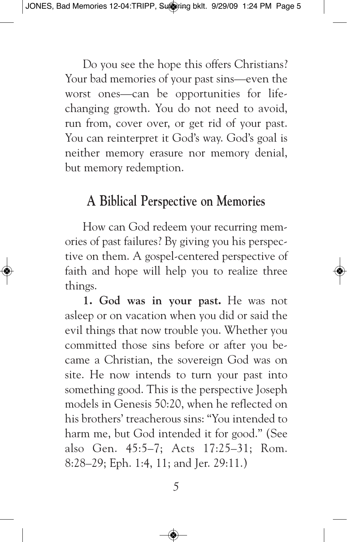Do you see the hope this offers Christians? Your bad memories of your past sins—even the worst ones—can be opportunities for lifechanging growth. You do not need to avoid, run from, cover over, or get rid of your past. You can reinterpret it God's way. God's goal is neither memory erasure nor memory denial, but memory redemption.

## **A Biblical Perspective on Memories**

How can God redeem your recurring memories of past failures? By giving you his perspective on them. A gospel-centered perspective of faith and hope will help you to realize three things.

**1. God was in your past.** He was not asleep or on vacation when you did or said the evil things that now trouble you. Whether you committed those sins before or after you became a Christian, the sovereign God was on site. He now intends to turn your past into something good. This is the perspective Joseph models in Genesis 50:20, when he reflected on his brothers' treacherous sins: "You intended to harm me, but God intended it for good." (See also Gen. 45:5–7; Acts 17:25–31; Rom. 8:28–29; Eph. 1:4, 11; and Jer. 29:11.)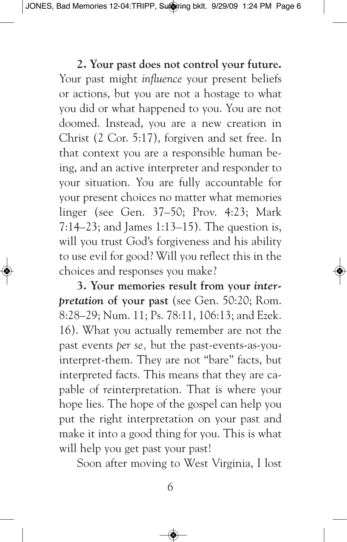## **2. Your past does not control your future.**

Your past might *influence* your present beliefs or actions, but you are not a hostage to what you did or what happened to you. You are not doomed. Instead, you are a new creation in Christ (2 Cor. 5:17), forgiven and set free. In that context you are a responsible human being, and an active interpreter and responder to your situation. You are fully accountable for your present choices no matter what memories linger (see Gen. 37–50; Prov. 4:23; Mark 7:14–23; and James 1:13–15). The question is, will you trust God's forgiveness and his ability to use evil for good? Will you reflect this in the choices and responses you make?

**3. Your memories result from your** *interpretation* **of your past** (see Gen. 50:20; Rom. 8:28–29; Num. 11; Ps. 78:11, 106:13; and Ezek. 16). What you actually remember are not the past events *per se,* but the past-events-as-youinterpret-them. They are not "bare" facts, but interpreted facts. This means that they are capable of *re*interpretation. That is where your hope lies. The hope of the gospel can help you put the right interpretation on your past and make it into a good thing for you. This is what will help you get past your past!

Soon after moving to West Virginia, I lost

*6*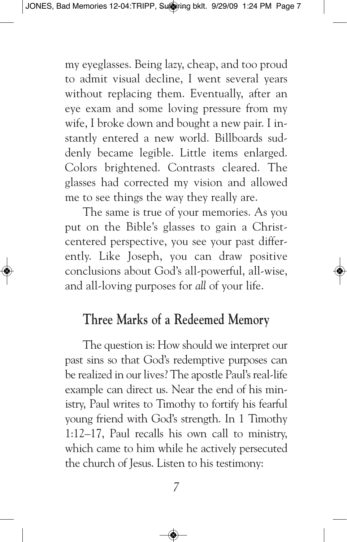my eyeglasses. Being lazy, cheap, and too proud to admit visual decline, I went several years without replacing them. Eventually, after an eye exam and some loving pressure from my wife, I broke down and bought a new pair. I instantly entered a new world. Billboards suddenly became legible. Little items enlarged. Colors brightened. Contrasts cleared. The glasses had corrected my vision and allowed me to see things the way they really are.

The same is true of your memories. As you put on the Bible's glasses to gain a Christcentered perspective, you see your past differently. Like Joseph, you can draw positive conclusions about God's all-powerful, all-wise, and all-loving purposes for *all* of your life.

## **Three Marks of a Redeemed Memory**

The question is: How should we interpret our past sins so that God's redemptive purposes can be realized in our lives? The apostle Paul's real-life example can direct us. Near the end of his ministry, Paul writes to Timothy to fortify his fearful young friend with God's strength. In 1 Timothy 1:12–17, Paul recalls his own call to ministry, which came to him while he actively persecuted the church of Jesus. Listen to his testimony: